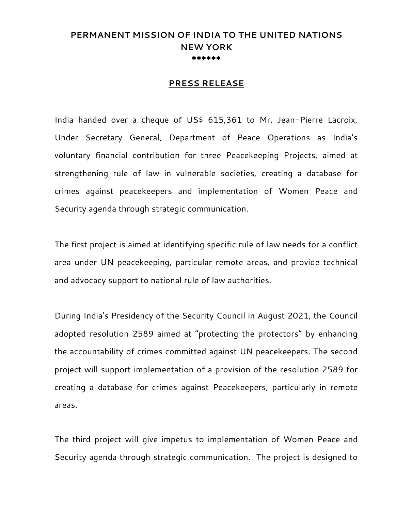## **PERMANENT MISSION OF INDIA TO THE UNITED NATIONS NEW YORK \*\*\*\*\*\***

## **PRESS RELEASE**

India handed over a cheque of US\$ 615,361 to Mr. Jean-Pierre Lacroix, Under Secretary General, Department of Peace Operations as India's voluntary financial contribution for three Peacekeeping Projects, aimed at strengthening rule of law in vulnerable societies, creating a database for crimes against peacekeepers and implementation of Women Peace and Security agenda through strategic communication.

The first project is aimed at identifying specific rule of law needs for a conflict area under UN peacekeeping, particular remote areas, and provide technical and advocacy support to national rule of law authorities.

During India's Presidency of the Security Council in August 2021, the Council adopted resolution 2589 aimed at "protecting the protectors" by enhancing the accountability of crimes committed against UN peacekeepers. The second project will support implementation of a provision of the resolution 2589 for creating a database for crimes against Peacekeepers, particularly in remote areas.

The third project will give impetus to implementation of Women Peace and Security agenda through strategic communication. The project is designed to